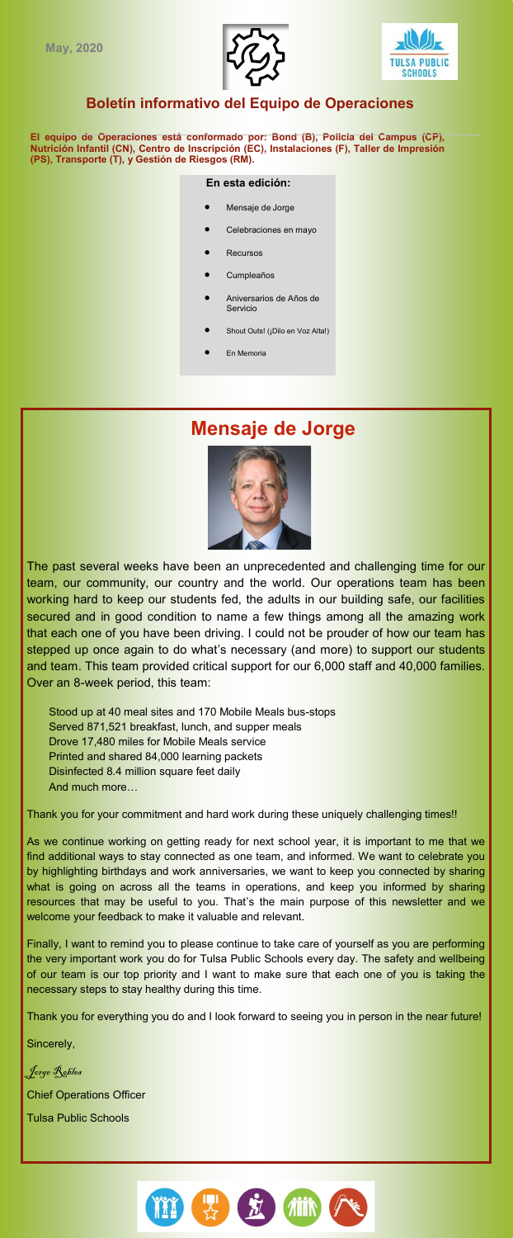



## **Boletín informativo del Equipo de Operaciones**

**El equipo de Operaciones está conformado por: Bond (B), Policía del Campus (CP), Nutrición Infantil (CN), Centro de Inscripción (EC), Instalaciones (F), Taller de Impresión (PS), Transporte (T), y Gestión de Riesgos (RM).**

### **En esta edición:**

- Mensaje de Jorge
- Celebraciones en mayo
- **Recursos**
- Cumpleaños
- Aniversarios de Años de Servicio
- Shout Outs! (¡Dilo en Voz Alta!)
- En Memoria

# **Mensaje de Jorge**

The past several weeks have been an unprecedented and challenging time for our team, our community, our country and the world. Our operations team has been working hard to keep our students fed, the adults in our building safe, our facilities secured and in good condition to name a few things among all the amazing work that each one of you have been driving. I could not be prouder of how our team has stepped up once again to do what's necessary (and more) to support our students and team. This team provided critical support for our 6,000 staff and 40,000 families. Over an 8-week period, this team:

Stood up at 40 meal sites and 170 Mobile Meals bus-stops Served 871,521 breakfast, lunch, and supper meals Drove 17,480 miles for Mobile Meals service Printed and shared 84,000 learning packets Disinfected 8.4 million square feet daily And much more…

Thank you for your commitment and hard work during these uniquely challenging times!!

As we continue working on getting ready for next school year, it is important to me that we find additional ways to stay connected as one team, and informed. We want to celebrate you by highlighting birthdays and work anniversaries, we want to keep you connected by sharing what is going on across all the teams in operations, and keep you informed by sharing resources that may be useful to you. That's the main purpose of this newsletter and we welcome your feedback to make it valuable and relevant.

Finally, I want to remind you to please continue to take care of yourself as you are performing the very important work you do for Tulsa Public Schools every day. The safety and wellbeing of our team is our top priority and I want to make sure that each one of you is taking the necessary steps to stay healthy during this time.

Thank you for everything you do and I look forward to seeing you in person in the near future!

Sincerely,

Jorge Robles Chief Operations Officer

Tulsa Public Schools

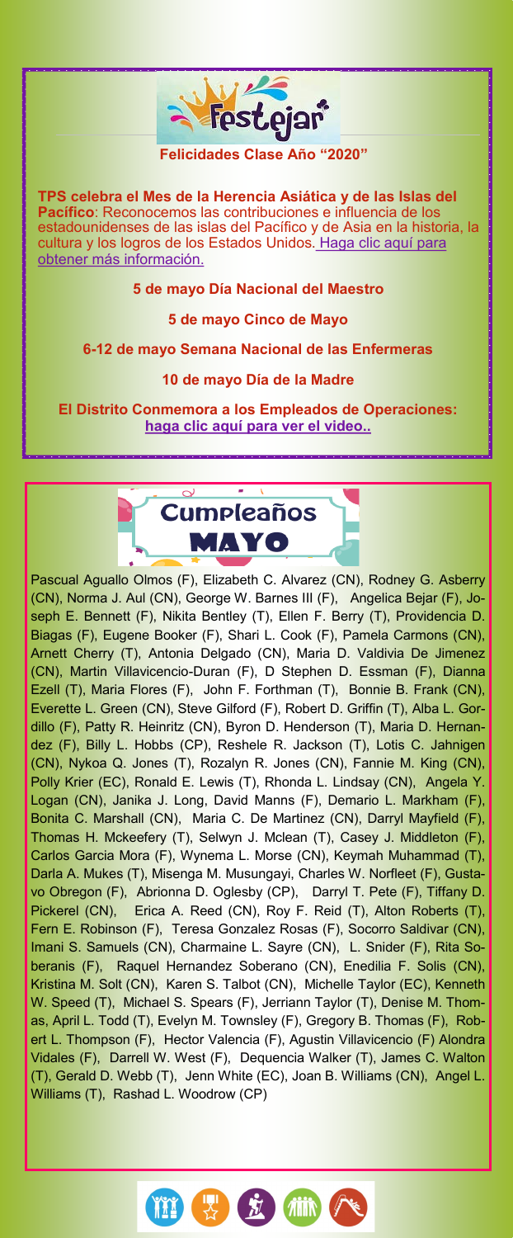

**El Distrito Conmemora a los Empleados de Operaciones: [haga clic aquí para ver el video..](https://www.facebook.com/deborahagist/videos/vb.1613498352/10219699961802242/?type=2&theater¬if_t=video_processed¬if_id=1589553063756819)**



Pascual Aguallo Olmos (F), Elizabeth C. Alvarez (CN), Rodney G. Asberry (CN), Norma J. Aul (CN), George W. Barnes III (F), Angelica Bejar (F), Joseph E. Bennett (F), Nikita Bentley (T), Ellen F. Berry (T), Providencia D. Biagas (F), Eugene Booker (F), Shari L. Cook (F), Pamela Carmons (CN), Arnett Cherry (T), Antonia Delgado (CN), Maria D. Valdivia De Jimenez (CN), Martin Villavicencio-Duran (F), D Stephen D. Essman (F), Dianna Ezell (T), Maria Flores (F), John F. Forthman (T), Bonnie B. Frank (CN), Everette L. Green (CN), Steve Gilford (F), Robert D. Griffin (T), Alba L. Gordillo (F), Patty R. Heinritz (CN), Byron D. Henderson (T), Maria D. Hernandez (F), Billy L. Hobbs (CP), Reshele R. Jackson (T), Lotis C. Jahnigen (CN), Nykoa Q. Jones (T), Rozalyn R. Jones (CN), Fannie M. King (CN), Polly Krier (EC), Ronald E. Lewis (T), Rhonda L. Lindsay (CN), Angela Y. Logan (CN), Janika J. Long, David Manns (F), Demario L. Markham (F), Bonita C. Marshall (CN), Maria C. De Martinez (CN), Darryl Mayfield (F), Thomas H. Mckeefery (T), Selwyn J. Mclean (T), Casey J. Middleton (F), Carlos Garcia Mora (F), Wynema L. Morse (CN), Keymah Muhammad (T), Darla A. Mukes (T), Misenga M. Musungayi, Charles W. Norfleet (F), Gustavo Obregon (F), Abrionna D. Oglesby (CP), Darryl T. Pete (F), Tiffany D. Pickerel (CN), Erica A. Reed (CN), Roy F. Reid (T), Alton Roberts (T), Fern E. Robinson (F), Teresa Gonzalez Rosas (F), Socorro Saldivar (CN), Imani S. Samuels (CN), Charmaine L. Sayre (CN), L. Snider (F), Rita Soberanis (F), Raquel Hernandez Soberano (CN), Enedilia F. Solis (CN), Kristina M. Solt (CN), Karen S. Talbot (CN), Michelle Taylor (EC), Kenneth W. Speed (T), Michael S. Spears (F), Jerriann Taylor (T), Denise M. Thomas, April L. Todd (T), Evelyn M. Townsley (F), Gregory B. Thomas (F), Robert L. Thompson (F), Hector Valencia (F), Agustin Villavicencio (F) Alondra Vidales (F), Darrell W. West (F), Dequencia Walker (T), James C. Walton (T), Gerald D. Webb (T), Jenn White (EC), Joan B. Williams (CN), Angel L. Williams (T), Rashad L. Woodrow (CP)